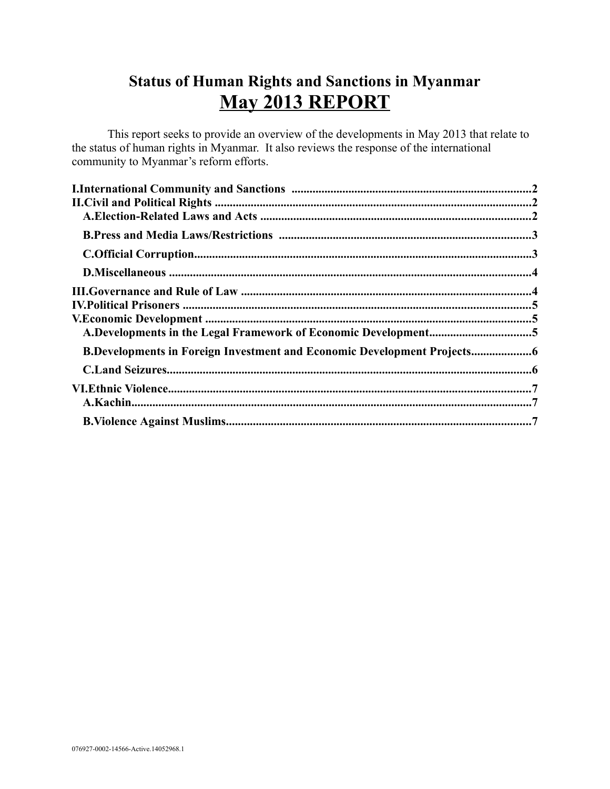# **Status of Human Rights and Sanctions in Myanmar May 2013 REPORT**

This report seeks to provide an overview of the developments in May 2013 that relate to the status of human rights in Myanmar. It also reviews the response of the international community to Myanmar's reform efforts.

| <b>B.Developments in Foreign Investment and Economic Development Projects</b> |  |
|-------------------------------------------------------------------------------|--|
|                                                                               |  |
|                                                                               |  |
|                                                                               |  |
|                                                                               |  |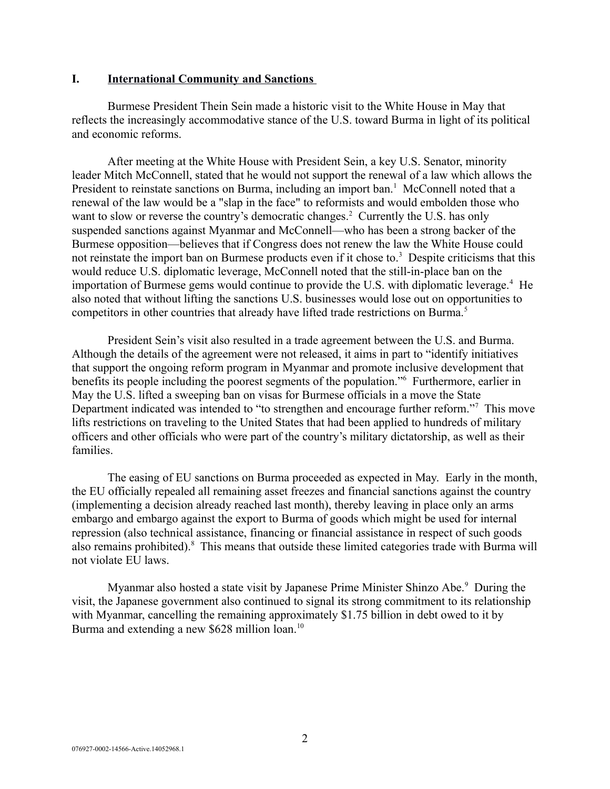#### <span id="page-1-0"></span>**I. International Community and Sanctions**

Burmese President Thein Sein made a historic visit to the White House in May that reflects the increasingly accommodative stance of the U.S. toward Burma in light of its political and economic reforms.

After meeting at the White House with President Sein, a key U.S. Senator, minority leader Mitch McConnell, stated that he would not support the renewal of a law which allows the President to reinstate sanctions on Burma, including an import ban.<sup>1</sup> McConnell noted that a renewal of the law would be a "slap in the face" to reformists and would embolden those who want to slow or reverse the country's democratic changes.<sup>2</sup> Currently the U.S. has only suspended sanctions against Myanmar and McConnell—who has been a strong backer of the Burmese opposition—believes that if Congress does not renew the law the White House could not reinstate the import ban on Burmese products even if it chose to.<sup>3</sup> Despite criticisms that this would reduce U.S. diplomatic leverage, McConnell noted that the still-in-place ban on the importation of Burmese gems would continue to provide the U.S. with diplomatic leverage.<sup>4</sup> He also noted that without lifting the sanctions U.S. businesses would lose out on opportunities to competitors in other countries that already have lifted trade restrictions on Burma.<sup>5</sup>

President Sein's visit also resulted in a trade agreement between the U.S. and Burma. Although the details of the agreement were not released, it aims in part to "identify initiatives that support the ongoing reform program in Myanmar and promote inclusive development that benefits its people including the poorest segments of the population."<sup>6</sup> Furthermore, earlier in May the U.S. lifted a sweeping ban on visas for Burmese officials in a move the State Department indicated was intended to "to strengthen and encourage further reform."<sup>7</sup> This move lifts restrictions on traveling to the United States that had been applied to hundreds of military officers and other officials who were part of the country's military dictatorship, as well as their families.

The easing of EU sanctions on Burma proceeded as expected in May. Early in the month, the EU officially repealed all remaining asset freezes and financial sanctions against the country (implementing a decision already reached last month), thereby leaving in place only an arms embargo and embargo against the export to Burma of goods which might be used for internal repression (also technical assistance, financing or financial assistance in respect of such goods also remains prohibited).<sup>8</sup> This means that outside these limited categories trade with Burma will not violate EU laws.

Myanmar also hosted a state visit by Japanese Prime Minister Shinzo Abe.<sup>9</sup> During the visit, the Japanese government also continued to signal its strong commitment to its relationship with Myanmar, cancelling the remaining approximately \$1.75 billion in debt owed to it by Burma and extending a new \$628 million loan.<sup>10</sup>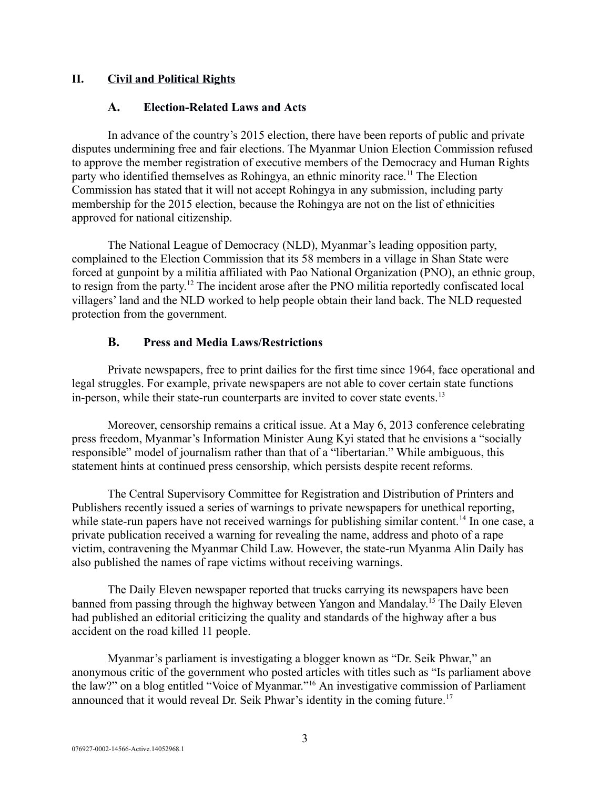## **II. Civil and Political Rights**

#### <span id="page-2-2"></span><span id="page-2-1"></span>**A. Election-Related Laws and Acts**

In advance of the country's 2015 election, there have been reports of public and private disputes undermining free and fair elections. The Myanmar Union Election Commission refused to approve the member registration of executive members of the Democracy and Human Rights party who identified themselves as Rohingya, an ethnic minority race.<sup>11</sup> The Election Commission has stated that it will not accept Rohingya in any submission, including party membership for the 2015 election, because the Rohingya are not on the list of ethnicities approved for national citizenship.

The National League of Democracy (NLD), Myanmar's leading opposition party, complained to the Election Commission that its 58 members in a village in Shan State were forced at gunpoint by a militia affiliated with Pao National Organization (PNO), an ethnic group, to resign from the party.<sup>12</sup> The incident arose after the PNO militia reportedly confiscated local villagers' land and the NLD worked to help people obtain their land back. The NLD requested protection from the government.

#### <span id="page-2-0"></span>**B. Press and Media Laws/Restrictions**

Private newspapers, free to print dailies for the first time since 1964, face operational and legal struggles. For example, private newspapers are not able to cover certain state functions in-person, while their state-run counterparts are invited to cover state events.<sup>13</sup>

Moreover, censorship remains a critical issue. At a May 6, 2013 conference celebrating press freedom, Myanmar's Information Minister Aung Kyi stated that he envisions a "socially responsible" model of journalism rather than that of a "libertarian." While ambiguous, this statement hints at continued press censorship, which persists despite recent reforms.

The Central Supervisory Committee for Registration and Distribution of Printers and Publishers recently issued a series of warnings to private newspapers for unethical reporting, while state-run papers have not received warnings for publishing similar content.<sup>14</sup> In one case, a private publication received a warning for revealing the name, address and photo of a rape victim, contravening the Myanmar Child Law. However, the state-run Myanma Alin Daily has also published the names of rape victims without receiving warnings.

The Daily Eleven newspaper reported that trucks carrying its newspapers have been banned from passing through the highway between Yangon and Mandalay.<sup>15</sup> The Daily Eleven had published an editorial criticizing the quality and standards of the highway after a bus accident on the road killed 11 people.

Myanmar's parliament is investigating a blogger known as "Dr. Seik Phwar," an anonymous critic of the government who posted articles with titles such as "Is parliament above the law?" on a blog entitled "Voice of Myanmar."<sup>16</sup> An investigative commission of Parliament announced that it would reveal Dr. Seik Phwar's identity in the coming future.<sup>17</sup>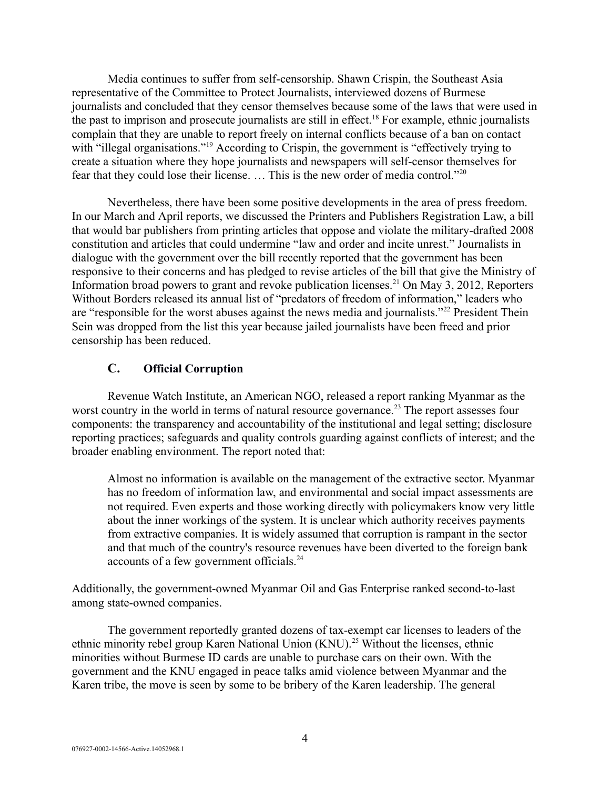Media continues to suffer from self-censorship. Shawn Crispin, the Southeast Asia representative of the Committee to Protect Journalists, interviewed dozens of Burmese journalists and concluded that they censor themselves because some of the laws that were used in the past to imprison and prosecute journalists are still in effect.<sup>18</sup> For example, ethnic journalists complain that they are unable to report freely on internal conflicts because of a ban on contact with "illegal organisations."<sup>19</sup> According to Crispin, the government is "effectively trying to create a situation where they hope journalists and newspapers will self-censor themselves for fear that they could lose their license. … This is the new order of media control."<sup>20</sup>

Nevertheless, there have been some positive developments in the area of press freedom. In our March and April reports, we discussed the Printers and Publishers Registration Law, a bill that would bar publishers from printing articles that oppose and violate the military-drafted 2008 constitution and articles that could undermine "law and order and incite unrest." Journalists in dialogue with the government over the bill recently reported that the government has been responsive to their concerns and has pledged to revise articles of the bill that give the Ministry of Information broad powers to grant and revoke publication licenses.<sup>21</sup> On May 3, 2012, Reporters Without Borders released its annual list of "predators of freedom of information," leaders who are "responsible for the worst abuses against the news media and journalists."<sup>22</sup> President Thein Sein was dropped from the list this year because jailed journalists have been freed and prior censorship has been reduced.

# <span id="page-3-0"></span>**C. Official Corruption**

Revenue Watch Institute, an American NGO, released a report ranking Myanmar as the worst country in the world in terms of natural resource governance.<sup>23</sup> The report assesses four components: the transparency and accountability of the institutional and legal setting; disclosure reporting practices; safeguards and quality controls guarding against conflicts of interest; and the broader enabling environment. The report noted that:

Almost no information is available on the management of the extractive sector. Myanmar has no freedom of information law, and environmental and social impact assessments are not required. Even experts and those working directly with policymakers know very little about the inner workings of the system. It is unclear which authority receives payments from extractive companies. It is widely assumed that corruption is rampant in the sector and that much of the country's resource revenues have been diverted to the foreign bank accounts of a few government officials.<sup>24</sup>

Additionally, the government-owned Myanmar Oil and Gas Enterprise ranked second-to-last among state-owned companies.

The government reportedly granted dozens of tax-exempt car licenses to leaders of the ethnic minority rebel group Karen National Union  $(KNU)$ <sup>25</sup> Without the licenses, ethnic minorities without Burmese ID cards are unable to purchase cars on their own. With the government and the KNU engaged in peace talks amid violence between Myanmar and the Karen tribe, the move is seen by some to be bribery of the Karen leadership. The general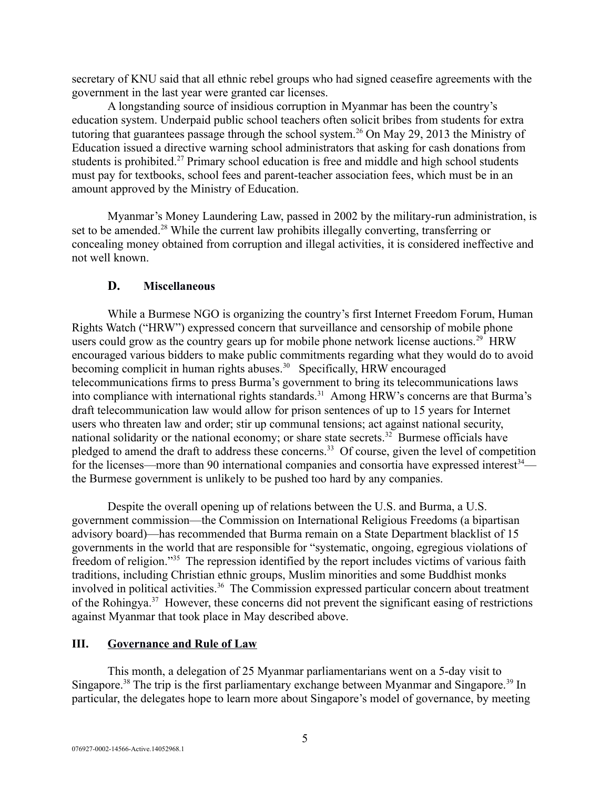secretary of KNU said that all ethnic rebel groups who had signed ceasefire agreements with the government in the last year were granted car licenses.

A longstanding source of insidious corruption in Myanmar has been the country's education system. Underpaid public school teachers often solicit bribes from students for extra tutoring that guarantees passage through the school system.<sup>26</sup> On May 29, 2013 the Ministry of Education issued a directive warning school administrators that asking for cash donations from students is prohibited.<sup>27</sup> Primary school education is free and middle and high school students must pay for textbooks, school fees and parent-teacher association fees, which must be in an amount approved by the Ministry of Education.

Myanmar's Money Laundering Law, passed in 2002 by the military-run administration, is set to be amended.<sup>28</sup> While the current law prohibits illegally converting, transferring or concealing money obtained from corruption and illegal activities, it is considered ineffective and not well known.

# <span id="page-4-1"></span>**D. Miscellaneous**

While a Burmese NGO is organizing the country's first Internet Freedom Forum, Human Rights Watch ("HRW") expressed concern that surveillance and censorship of mobile phone users could grow as the country gears up for mobile phone network license auctions.<sup>29</sup> HRW encouraged various bidders to make public commitments regarding what they would do to avoid becoming complicit in human rights abuses.<sup>30</sup> Specifically, HRW encouraged telecommunications firms to press Burma's government to bring its telecommunications laws into compliance with international rights standards.<sup>31</sup> Among HRW's concerns are that Burma's draft telecommunication law would allow for prison sentences of up to 15 years for Internet users who threaten law and order; stir up communal tensions; act against national security, national solidarity or the national economy; or share state secrets.<sup>32</sup> Burmese officials have pledged to amend the draft to address these concerns.<sup>33</sup> Of course, given the level of competition for the licenses—more than 90 international companies and consortia have expressed interest $34$  the Burmese government is unlikely to be pushed too hard by any companies.

Despite the overall opening up of relations between the U.S. and Burma, a U.S. government commission—the Commission on International Religious Freedoms (a bipartisan advisory board)—has recommended that Burma remain on a State Department blacklist of 15 governments in the world that are responsible for "systematic, ongoing, egregious violations of freedom of religion."<sup>35</sup> The repression identified by the report includes victims of various faith traditions, including Christian ethnic groups, Muslim minorities and some Buddhist monks involved in political activities.<sup>36</sup> The Commission expressed particular concern about treatment of the Rohingya.<sup>37</sup> However, these concerns did not prevent the significant easing of restrictions against Myanmar that took place in May described above.

# <span id="page-4-0"></span>**III. Governance and Rule of Law**

This month, a delegation of 25 Myanmar parliamentarians went on a 5-day visit to Singapore.<sup>38</sup> The trip is the first parliamentary exchange between Myanmar and Singapore.<sup>39</sup> In particular, the delegates hope to learn more about Singapore's model of governance, by meeting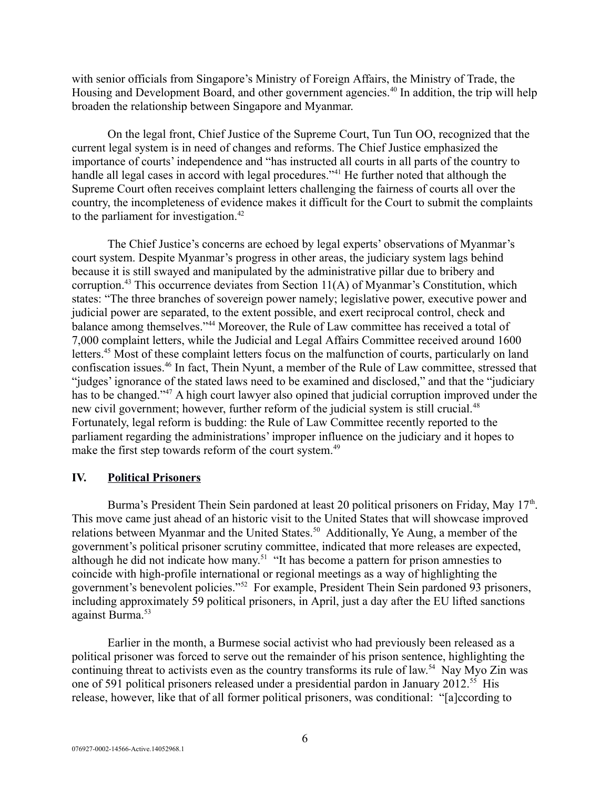with senior officials from Singapore's Ministry of Foreign Affairs, the Ministry of Trade, the Housing and Development Board, and other government agencies.<sup>40</sup> In addition, the trip will help broaden the relationship between Singapore and Myanmar.

On the legal front, Chief Justice of the Supreme Court, Tun Tun OO, recognized that the current legal system is in need of changes and reforms. The Chief Justice emphasized the importance of courts' independence and "has instructed all courts in all parts of the country to handle all legal cases in accord with legal procedures."<sup>41</sup> He further noted that although the Supreme Court often receives complaint letters challenging the fairness of courts all over the country, the incompleteness of evidence makes it difficult for the Court to submit the complaints to the parliament for investigation. $42$ 

The Chief Justice's concerns are echoed by legal experts' observations of Myanmar's court system. Despite Myanmar's progress in other areas, the judiciary system lags behind because it is still swayed and manipulated by the administrative pillar due to bribery and corruption.<sup>43</sup> This occurrence deviates from Section  $11(A)$  of Myanmar's Constitution, which states: "The three branches of sovereign power namely; legislative power, executive power and judicial power are separated, to the extent possible, and exert reciprocal control, check and balance among themselves."<sup>44</sup> Moreover, the Rule of Law committee has received a total of 7,000 complaint letters, while the Judicial and Legal Affairs Committee received around 1600 letters.<sup>45</sup> Most of these complaint letters focus on the malfunction of courts, particularly on land confiscation issues.<sup>46</sup> In fact, Thein Nyunt, a member of the Rule of Law committee, stressed that "judges' ignorance of the stated laws need to be examined and disclosed," and that the "judiciary has to be changed."<sup>47</sup> A high court lawyer also opined that judicial corruption improved under the new civil government; however, further reform of the judicial system is still crucial.<sup>48</sup> Fortunately, legal reform is budding: the Rule of Law Committee recently reported to the parliament regarding the administrations' improper influence on the judiciary and it hopes to make the first step towards reform of the court system.<sup>49</sup>

#### <span id="page-5-0"></span>**IV. Political Prisoners**

Burma's President Thein Sein pardoned at least 20 political prisoners on Friday, May 17<sup>th</sup>. This move came just ahead of an historic visit to the United States that will showcase improved relations between Myanmar and the United States.<sup>50</sup> Additionally, Ye Aung, a member of the government's political prisoner scrutiny committee, indicated that more releases are expected, although he did not indicate how many.<sup>51</sup> "It has become a pattern for prison amnesties to coincide with high-profile international or regional meetings as a way of highlighting the government's benevolent policies."<sup>52</sup> For example, President Thein Sein pardoned 93 prisoners, including approximately 59 political prisoners, in April, just a day after the EU lifted sanctions against Burma.<sup>53</sup>

Earlier in the month, a Burmese social activist who had previously been released as a political prisoner was forced to serve out the remainder of his prison sentence, highlighting the continuing threat to activists even as the country transforms its rule of law.<sup>54</sup> Nay Myo Zin was one of 591 political prisoners released under a presidential pardon in January 2012.<sup>55</sup> His release, however, like that of all former political prisoners, was conditional: "[a]ccording to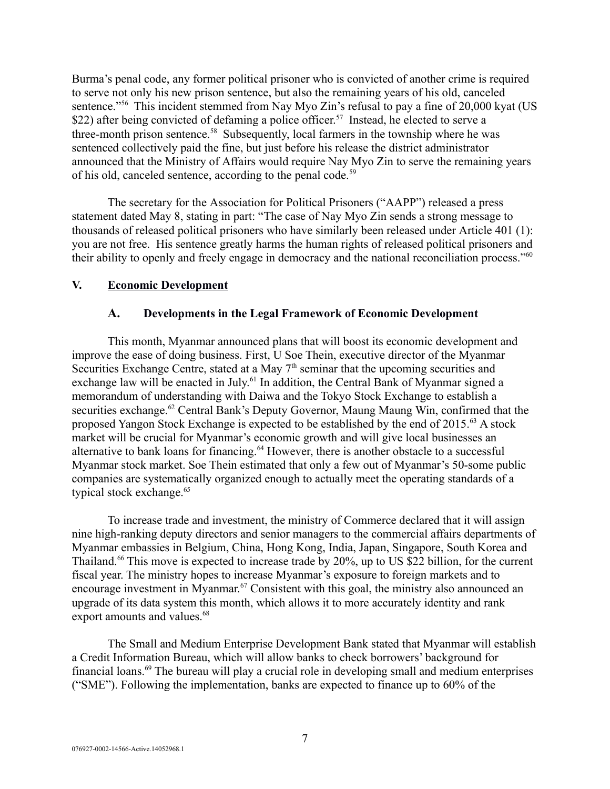Burma's penal code, any former political prisoner who is convicted of another crime is required to serve not only his new prison sentence, but also the remaining years of his old, canceled sentence."<sup>56</sup> This incident stemmed from Nay Myo Zin's refusal to pay a fine of 20,000 kyat (US \$22) after being convicted of defaming a police officer.<sup>57</sup> Instead, he elected to serve a three-month prison sentence.<sup>58</sup> Subsequently, local farmers in the township where he was sentenced collectively paid the fine, but just before his release the district administrator announced that the Ministry of Affairs would require Nay Myo Zin to serve the remaining years of his old, canceled sentence, according to the penal code.<sup>59</sup>

The secretary for the Association for Political Prisoners ("AAPP") released a press statement dated May 8, stating in part: "The case of Nay Myo Zin sends a strong message to thousands of released political prisoners who have similarly been released under Article 401 (1): you are not free. His sentence greatly harms the human rights of released political prisoners and their ability to openly and freely engage in democracy and the national reconciliation process."<sup>60</sup>

#### **V. Economic Development**

#### <span id="page-6-1"></span><span id="page-6-0"></span>**A. Developments in the Legal Framework of Economic Development**

This month, Myanmar announced plans that will boost its economic development and improve the ease of doing business. First, U Soe Thein, executive director of the Myanmar Securities Exchange Centre, stated at a May  $7<sup>th</sup>$  seminar that the upcoming securities and exchange law will be enacted in July.<sup>61</sup> In addition, the Central Bank of Myanmar signed a memorandum of understanding with Daiwa and the Tokyo Stock Exchange to establish a securities exchange.<sup>62</sup> Central Bank's Deputy Governor, Maung Maung Win, confirmed that the proposed Yangon Stock Exchange is expected to be established by the end of 2015.<sup>63</sup> A stock market will be crucial for Myanmar's economic growth and will give local businesses an alternative to bank loans for financing.<sup>64</sup> However, there is another obstacle to a successful Myanmar stock market. Soe Thein estimated that only a few out of Myanmar's 50-some public companies are systematically organized enough to actually meet the operating standards of a typical stock exchange.<sup>65</sup>

To increase trade and investment, the ministry of Commerce declared that it will assign nine high-ranking deputy directors and senior managers to the commercial affairs departments of Myanmar embassies in Belgium, China, Hong Kong, India, Japan, Singapore, South Korea and Thailand.<sup>66</sup> This move is expected to increase trade by 20%, up to US \$22 billion, for the current fiscal year. The ministry hopes to increase Myanmar's exposure to foreign markets and to encourage investment in Myanmar.<sup>67</sup> Consistent with this goal, the ministry also announced an upgrade of its data system this month, which allows it to more accurately identity and rank export amounts and values.<sup>68</sup>

The Small and Medium Enterprise Development Bank stated that Myanmar will establish a Credit Information Bureau, which will allow banks to check borrowers' background for financial loans.<sup>69</sup> The bureau will play a crucial role in developing small and medium enterprises ("SME"). Following the implementation, banks are expected to finance up to 60% of the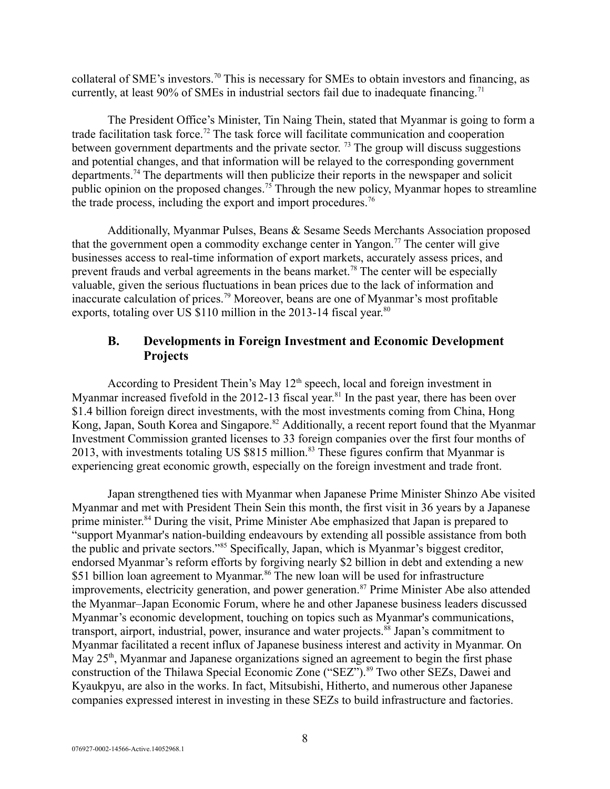collateral of SME's investors.<sup>70</sup> This is necessary for SMEs to obtain investors and financing, as currently, at least 90% of SMEs in industrial sectors fail due to inadequate financing.<sup>71</sup>

The President Office's Minister, Tin Naing Thein, stated that Myanmar is going to form a trade facilitation task force.<sup>72</sup> The task force will facilitate communication and cooperation between government departments and the private sector.<sup>73</sup> The group will discuss suggestions and potential changes, and that information will be relayed to the corresponding government departments.<sup>74</sup> The departments will then publicize their reports in the newspaper and solicit public opinion on the proposed changes.<sup>75</sup> Through the new policy, Myanmar hopes to streamline the trade process, including the export and import procedures.<sup>76</sup>

Additionally, Myanmar Pulses, Beans & Sesame Seeds Merchants Association proposed that the government open a commodity exchange center in Yangon.<sup>77</sup> The center will give businesses access to real-time information of export markets, accurately assess prices, and prevent frauds and verbal agreements in the beans market.<sup>78</sup> The center will be especially valuable, given the serious fluctuations in bean prices due to the lack of information and inaccurate calculation of prices.<sup>79</sup> Moreover, beans are one of Myanmar's most profitable exports, totaling over US  $$110$  million in the 2013-14 fiscal year.<sup>80</sup>

# <span id="page-7-0"></span>**B. Developments in Foreign Investment and Economic Development Projects**

According to President Thein's May  $12<sup>th</sup>$  speech, local and foreign investment in Myanmar increased fivefold in the 2012-13 fiscal year.<sup>81</sup> In the past year, there has been over \$1.4 billion foreign direct investments, with the most investments coming from China, Hong Kong, Japan, South Korea and Singapore.<sup>82</sup> Additionally, a recent report found that the Myanmar Investment Commission granted licenses to 33 foreign companies over the first four months of 2013, with investments totaling US \$815 million.<sup>83</sup> These figures confirm that Myanmar is experiencing great economic growth, especially on the foreign investment and trade front.

Japan strengthened ties with Myanmar when Japanese Prime Minister Shinzo Abe visited Myanmar and met with President Thein Sein this month, the first visit in 36 years by a Japanese prime minister.<sup>84</sup> During the visit, Prime Minister Abe emphasized that Japan is prepared to "support Myanmar's nation-building endeavours by extending all possible assistance from both the public and private sectors."<sup>85</sup> Specifically, Japan, which is Myanmar's biggest creditor, endorsed Myanmar's reform efforts by forgiving nearly \$2 billion in debt and extending a new \$51 billion loan agreement to Myanmar.<sup>86</sup> The new loan will be used for infrastructure improvements, electricity generation, and power generation.<sup>87</sup> Prime Minister Abe also attended the Myanmar–Japan Economic Forum, where he and other Japanese business leaders discussed Myanmar's economic development, touching on topics such as Myanmar's communications, transport, airport, industrial, power, insurance and water projects.<sup>88</sup> Japan's commitment to Myanmar facilitated a recent influx of Japanese business interest and activity in Myanmar. On May  $25<sup>th</sup>$ , Myanmar and Japanese organizations signed an agreement to begin the first phase construction of the Thilawa Special Economic Zone ("SEZ").<sup>89</sup> Two other SEZs, Dawei and Kyaukpyu, are also in the works. In fact, Mitsubishi, Hitherto, and numerous other Japanese companies expressed interest in investing in these SEZs to build infrastructure and factories.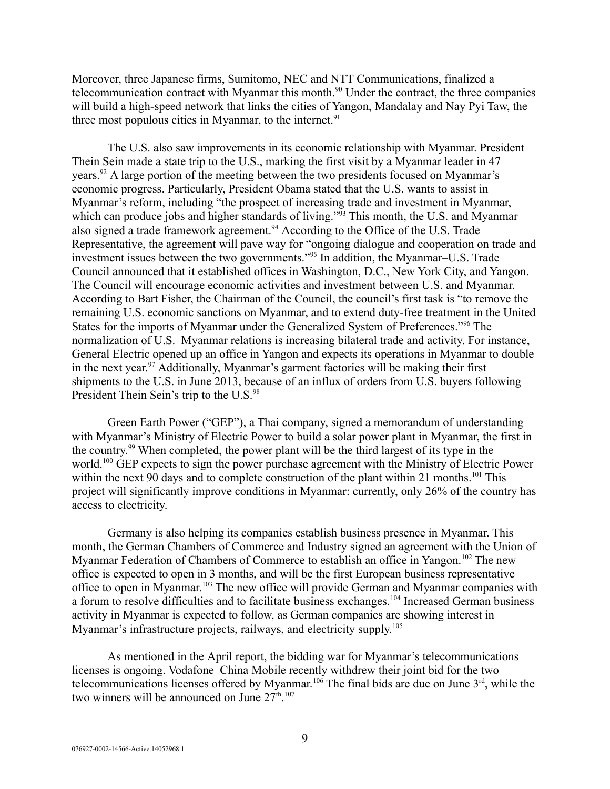Moreover, three Japanese firms, Sumitomo, NEC and NTT Communications, finalized a telecommunication contract with Myanmar this month.<sup>90</sup> Under the contract, the three companies will build a high-speed network that links the cities of Yangon, Mandalay and Nay Pyi Taw, the three most populous cities in Myanmar, to the internet. $91$ 

The U.S. also saw improvements in its economic relationship with Myanmar. President Thein Sein made a state trip to the U.S., marking the first visit by a Myanmar leader in 47 years.<sup>92</sup> A large portion of the meeting between the two presidents focused on Myanmar's economic progress. Particularly, President Obama stated that the U.S. wants to assist in Myanmar's reform, including "the prospect of increasing trade and investment in Myanmar, which can produce jobs and higher standards of living."<sup>93</sup> This month, the U.S. and Myanmar also signed a trade framework agreement.<sup>94</sup> According to the Office of the U.S. Trade Representative, the agreement will pave way for "ongoing dialogue and cooperation on trade and investment issues between the two governments."<sup>95</sup> In addition, the Myanmar–U.S. Trade Council announced that it established offices in Washington, D.C., New York City, and Yangon. The Council will encourage economic activities and investment between U.S. and Myanmar. According to Bart Fisher, the Chairman of the Council, the council's first task is "to remove the remaining U.S. economic sanctions on Myanmar, and to extend duty-free treatment in the United States for the imports of Myanmar under the Generalized System of Preferences."<sup>96</sup> The normalization of U.S.–Myanmar relations is increasing bilateral trade and activity. For instance, General Electric opened up an office in Yangon and expects its operations in Myanmar to double in the next year.<sup>97</sup> Additionally, Myanmar's garment factories will be making their first shipments to the U.S. in June 2013, because of an influx of orders from U.S. buyers following President Thein Sein's trip to the U.S.<sup>98</sup>

Green Earth Power ("GEP"), a Thai company, signed a memorandum of understanding with Myanmar's Ministry of Electric Power to build a solar power plant in Myanmar, the first in the country.<sup>99</sup> When completed, the power plant will be the third largest of its type in the world.<sup>100</sup> GEP expects to sign the power purchase agreement with the Ministry of Electric Power within the next 90 days and to complete construction of the plant within 21 months.<sup>101</sup> This project will significantly improve conditions in Myanmar: currently, only 26% of the country has access to electricity.

Germany is also helping its companies establish business presence in Myanmar. This month, the German Chambers of Commerce and Industry signed an agreement with the Union of Myanmar Federation of Chambers of Commerce to establish an office in Yangon.<sup>102</sup> The new office is expected to open in 3 months, and will be the first European business representative office to open in Myanmar.<sup>103</sup> The new office will provide German and Myanmar companies with a forum to resolve difficulties and to facilitate business exchanges.<sup>104</sup> Increased German business activity in Myanmar is expected to follow, as German companies are showing interest in Myanmar's infrastructure projects, railways, and electricity supply.<sup>105</sup>

As mentioned in the April report, the bidding war for Myanmar's telecommunications licenses is ongoing. Vodafone–China Mobile recently withdrew their joint bid for the two telecommunications licenses offered by Myanmar.<sup>106</sup> The final bids are due on June  $3<sup>rd</sup>$ , while the two winners will be announced on June  $27<sup>th</sup>$ .<sup>107</sup>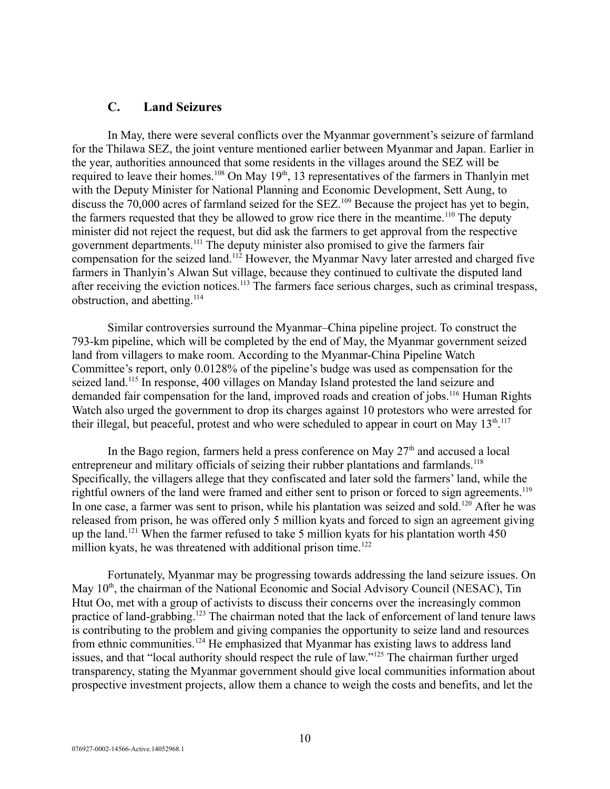#### <span id="page-9-0"></span>**C. Land Seizures**

In May, there were several conflicts over the Myanmar government's seizure of farmland for the Thilawa SEZ, the joint venture mentioned earlier between Myanmar and Japan. Earlier in the year, authorities announced that some residents in the villages around the SEZ will be required to leave their homes.<sup>108</sup> On May 19<sup>th</sup>, 13 representatives of the farmers in Thanlyin met with the Deputy Minister for National Planning and Economic Development, Sett Aung, to discuss the 70,000 acres of farmland seized for the SEZ.<sup>109</sup> Because the project has yet to begin, the farmers requested that they be allowed to grow rice there in the meantime.<sup>110</sup> The deputy minister did not reject the request, but did ask the farmers to get approval from the respective government departments.<sup>111</sup> The deputy minister also promised to give the farmers fair compensation for the seized land.<sup>112</sup> However, the Myanmar Navy later arrested and charged five farmers in Thanlyin's Alwan Sut village, because they continued to cultivate the disputed land after receiving the eviction notices.<sup>113</sup> The farmers face serious charges, such as criminal trespass, obstruction, and abetting. $114$ 

Similar controversies surround the Myanmar–China pipeline project. To construct the 793-km pipeline, which will be completed by the end of May, the Myanmar government seized land from villagers to make room. According to the Myanmar-China Pipeline Watch Committee's report, only 0.0128% of the pipeline's budge was used as compensation for the seized land.<sup>115</sup> In response, 400 villages on Manday Island protested the land seizure and demanded fair compensation for the land, improved roads and creation of jobs.<sup>116</sup> Human Rights Watch also urged the government to drop its charges against 10 protestors who were arrested for their illegal, but peaceful, protest and who were scheduled to appear in court on May  $13<sup>th</sup>$ .<sup>117</sup>

In the Bago region, farmers held a press conference on May  $27<sup>th</sup>$  and accused a local entrepreneur and military officials of seizing their rubber plantations and farmlands.<sup>118</sup> Specifically, the villagers allege that they confiscated and later sold the farmers' land, while the rightful owners of the land were framed and either sent to prison or forced to sign agreements.<sup>119</sup> In one case, a farmer was sent to prison, while his plantation was seized and sold.<sup>120</sup> After he was released from prison, he was offered only 5 million kyats and forced to sign an agreement giving up the land.<sup>121</sup> When the farmer refused to take 5 million kyats for his plantation worth  $450$ million kyats, he was threatened with additional prison time.<sup>122</sup>

Fortunately, Myanmar may be progressing towards addressing the land seizure issues. On May  $10<sup>th</sup>$ , the chairman of the National Economic and Social Advisory Council (NESAC), Tin Htut Oo, met with a group of activists to discuss their concerns over the increasingly common practice of land-grabbing.<sup>123</sup> The chairman noted that the lack of enforcement of land tenure laws is contributing to the problem and giving companies the opportunity to seize land and resources from ethnic communities.<sup>124</sup> He emphasized that Myanmar has existing laws to address land issues, and that "local authority should respect the rule of law."<sup>125</sup> The chairman further urged transparency, stating the Myanmar government should give local communities information about prospective investment projects, allow them a chance to weigh the costs and benefits, and let the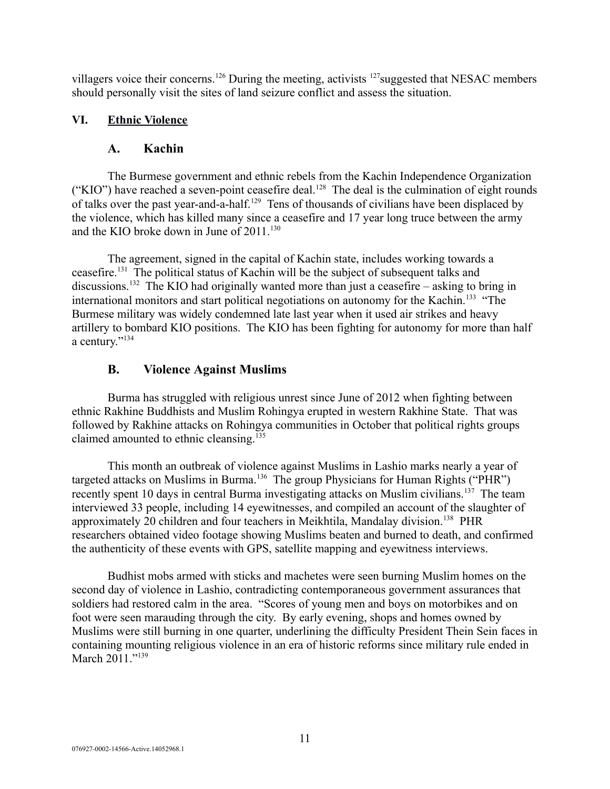villagers voice their concerns.<sup>126</sup> During the meeting, activists <sup>127</sup> suggested that NESAC members should personally visit the sites of land seizure conflict and assess the situation.

# **VI. Ethnic Violence**

## <span id="page-10-2"></span><span id="page-10-1"></span>**A. Kachin**

The Burmese government and ethnic rebels from the Kachin Independence Organization ("KIO") have reached a seven-point ceasefire deal.<sup>128</sup> The deal is the culmination of eight rounds of talks over the past year-and-a-half.<sup>129</sup> Tens of thousands of civilians have been displaced by the violence, which has killed many since a ceasefire and 17 year long truce between the army and the KIO broke down in June of  $2011$ .<sup>130</sup>

The agreement, signed in the capital of Kachin state, includes working towards a ceasefire.<sup>131</sup> The political status of Kachin will be the subject of subsequent talks and discussions.<sup>132</sup> The KIO had originally wanted more than just a ceasefire – asking to bring in international monitors and start political negotiations on autonomy for the Kachin.<sup>133</sup> "The Burmese military was widely condemned late last year when it used air strikes and heavy artillery to bombard KIO positions. The KIO has been fighting for autonomy for more than half a century."<sup>134</sup>

# <span id="page-10-0"></span>**B. Violence Against Muslims**

Burma has struggled with religious unrest since June of 2012 when fighting between ethnic Rakhine Buddhists and Muslim Rohingya erupted in western Rakhine State. That was followed by Rakhine attacks on Rohingya communities in October that political rights groups claimed amounted to ethnic cleansing.<sup>135</sup>

This month an outbreak of violence against Muslims in Lashio marks nearly a year of targeted attacks on Muslims in Burma.<sup>136</sup> The group Physicians for Human Rights ("PHR") recently spent 10 days in central Burma investigating attacks on Muslim civilians.<sup>137</sup> The team interviewed 33 people, including 14 eyewitnesses, and compiled an account of the slaughter of approximately 20 children and four teachers in Meikhtila, Mandalay division.<sup>138</sup> PHR researchers obtained video footage showing Muslims beaten and burned to death, and confirmed the authenticity of these events with GPS, satellite mapping and eyewitness interviews.

Budhist mobs armed with sticks and machetes were seen burning Muslim homes on the second day of violence in Lashio, contradicting contemporaneous government assurances that soldiers had restored calm in the area. "Scores of young men and boys on motorbikes and on foot were seen marauding through the city. By early evening, shops and homes owned by Muslims were still burning in one quarter, underlining the difficulty President Thein Sein faces in containing mounting religious violence in an era of historic reforms since military rule ended in March 2011."<sup>139</sup>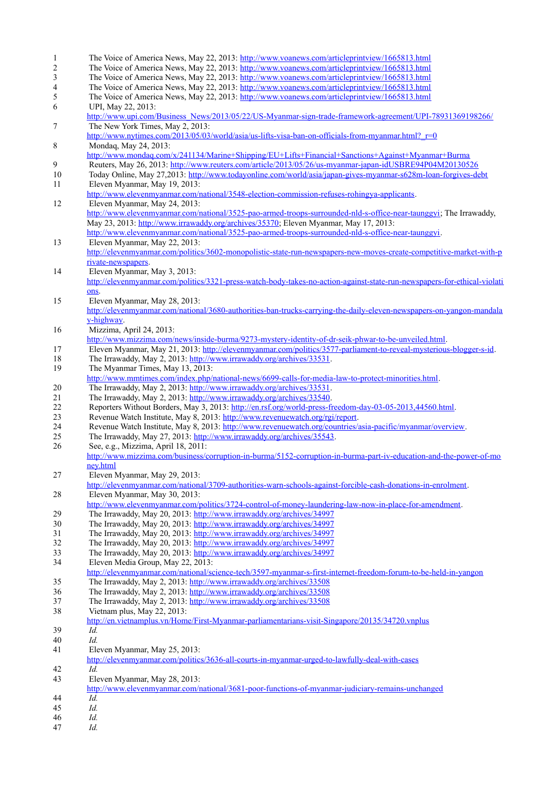1 The Voice of America News, May 22, 2013:<http://www.voanews.com/articleprintview/1665813.html> 2 The Voice of America News, May 22, 2013:<http://www.voanews.com/articleprintview/1665813.html><br>
23 The Voice of America News. May 22, 2013: http://www.voanews.com/articleprintview/1665813.html The Voice of America News, May 22, 2013:<http://www.voanews.com/articleprintview/1665813.html> 4 The Voice of America News, May 22, 2013:<http://www.voanews.com/articleprintview/1665813.html> 5 The Voice of America News, May 22, 2013:<http://www.voanews.com/articleprintview/1665813.html> 6 UPI, May 22, 2013: [http://www.upi.com/Business\\_News/2013/05/22/US-Myanmar-sign-trade-framework-agreement/UPI-78931369198266/](http://www.upi.com/Business_News/2013/05/22/US-Myanmar-sign-trade-framework-agreement/UPI-78931369198266/) 7 The New York Times, May 2, 2013: [http://www.nytimes.com/2013/05/03/world/asia/us-lifts-visa-ban-on-officials-from-myanmar.html?\\_r=0](http://www.nytimes.com/2013/05/03/world/asia/us-lifts-visa-ban-on-officials-from-myanmar.html?_r=0) 8 Mondaq, May 24, 2013: <http://www.mondaq.com/x/241134/Marine+Shipping/EU+Lifts+Financial+Sanctions+Against+Myanmar+Burma> 9 Reuters, May 26, 2013:<http://www.reuters.com/article/2013/05/26/us-myanmar-japan-idUSBRE94P04M20130526><br>10 Today Online May 27 2013: http://www.todayonline.com/world/asia/japan-gives-myanmar-s628m-loan-forgives-de 10 Today Online, May 27,2013:<http://www.todayonline.com/world/asia/japan-gives-myanmar-s628m-loan-forgives-debt> 11 Eleven Myanmar, May 19, 2013: [http://www.elevenmyanmar.com/national/3548-election-commission-refuses-rohingya-applicants.](http://www.elevenmyanmar.com/national/3548-election-commission-refuses-rohingya-applicants) 12 Eleven Myanmar, May 24, 2013: [http://www.elevenmyanmar.com/national/3525-pao-armed-troops-surrounded-nld-s-office-near-taunggyi;](http://www.elevenmyanmar.com/national/3525-pao-armed-troops-surrounded-nld-s-office-near-taunggyi) The Irrawaddy, May 23, 2013: [http://www.irrawaddy.org/archives/35370;](http://www.irrawaddy.org/archives/35370) Eleven Myanmar, May 17, 2013: [http://www.elevenmyanmar.com/national/3525-pao-armed-troops-surrounded-nld-s-office-near-taunggyi.](http://www.elevenmyanmar.com/national/3525-pao-armed-troops-surrounded-nld-s-office-near-taunggyi) 13 Eleven Myanmar, May 22, 2013: [http://elevenmyanmar.com/politics/3602-monopolistic-state-run-newspapers-new-moves-create-competitive-market-with-p](http://elevenmyanmar.com/politics/3602-monopolistic-state-run-newspapers-new-moves-create-competitive-market-with-private-newspapers) [rivate-newspapers.](http://elevenmyanmar.com/politics/3602-monopolistic-state-run-newspapers-new-moves-create-competitive-market-with-private-newspapers) 14 Eleven Myanmar, May 3, 2013: [http://elevenmyanmar.com/politics/3321-press-watch-body-takes-no-action-against-state-run-newspapers-for-ethical-violati](http://elevenmyanmar.com/politics/3321-press-watch-body-takes-no-action-against-state-run-newspapers-for-ethical-violations) [ons.](http://elevenmyanmar.com/politics/3321-press-watch-body-takes-no-action-against-state-run-newspapers-for-ethical-violations) 15 Eleven Myanmar, May 28, 2013: [http://elevenmyanmar.com/national/3680-authorities-ban-trucks-carrying-the-daily-eleven-newspapers-on-yangon-mandala](http://elevenmyanmar.com/national/3680-authorities-ban-trucks-carrying-the-daily-eleven-newspapers-on-yangon-mandalay-highway) [y-highway.](http://elevenmyanmar.com/national/3680-authorities-ban-trucks-carrying-the-daily-eleven-newspapers-on-yangon-mandalay-highway) 16 Mizzima, April 24, 2013: [http://www.mizzima.com/news/inside-burma/9273-mystery-identity-of-dr-seik-phwar-to-be-unveiled.html.](http://www.mizzima.com/news/inside-burma/9273-mystery-identity-of-dr-seik-phwar-to-be-unveiled.html) 17 Eleven Myanmar, May 21, 2013: [http://elevenmyanmar.com/politics/3577-parliament-to-reveal-mysterious-blogger-s-id.](http://elevenmyanmar.com/politics/3577-parliament-to-reveal-mysterious-blogger-s-id) 18 The Irrawaddy, May 2, 2013: [http://www.irrawaddy.org/archives/33531.](http://www.irrawaddy.org/archives/33531) 19 The Myanmar Times, May 13, 2013: [http://www.mmtimes.com/index.php/national-news/6699-calls-for-media-law-to-protect-minorities.html.](http://www.mmtimes.com/index.php/national-news/6699-calls-for-media-law-to-protect-minorities.html) 20 The Irrawaddy, May 2, 2013: [http://www.irrawaddy.org/archives/33531.](http://www.irrawaddy.org/archives/33531) 21 The Irrawaddy, May 2, 2013: [http://www.irrawaddy.org/archives/33540.](http://www.irrawaddy.org/archives/33540) 22 Reporters Without Borders, May 3, 2013: [http://en.rsf.org/world-press-freedom-day-03-05-2013,44560.html.](http://en.rsf.org/world-press-freedom-day-03-05-2013,44560.html)<br>23 Revenue Watch Institute. May 8, 2013: http://www.revenuewatch.org/rgi/report. 23 Revenue Watch Institute, May 8, 2013: [http://www.revenuewatch.org/rgi/report.](http://www.revenuewatch.org/rgi/report)<br>24 Revenue Watch Institute. May 8, 2013: http://www.revenuewatch.org/countries/ 24 Revenue Watch Institute, May 8, 2013: [http://www.revenuewatch.org/countries/asia-pacific/myanmar/overview.](http://www.revenuewatch.org/countries/asia-pacific/myanmar/overview) 25 The Irrawaddy, May 27, 2013: [http://www.irrawaddy.org/archives/35543.](http://www.irrawaddy.org/archives/35543) 26 See, e.g., Mizzima, April 18, 2011: [http://www.mizzima.com/business/corruption-in-burma/5152-corruption-in-burma-part-iv-education-and-the-power-of-mo](http://www.mizzima.com/business/corruption-in-burma/5152-corruption-in-burma-part-iv-education-and-the-power-of-money.html) [ney.html](http://www.mizzima.com/business/corruption-in-burma/5152-corruption-in-burma-part-iv-education-and-the-power-of-money.html) 27 Eleven Myanmar, May 29, 2013: [http://elevenmyanmar.com/national/3709-authorities-warn-schools-against-forcible-cash-donations-in-enrolment.](http://elevenmyanmar.com/national/3709-authorities-warn-schools-against-forcible-cash-donations-in-enrolment) 28 Eleven Myanmar, May 30, 2013: [http://www.elevenmyanmar.com/politics/3724-control-of-money-laundering-law-now-in-place-for-amendment.](http://www.elevenmyanmar.com/politics/3724-control-of-money-laundering-law-now-in-place-for-amendment) 29 The Irrawaddy, May 20, 2013:<http://www.irrawaddy.org/archives/34997><br>30 The Irrawaddy. May 20, 2013: http://www.irrawaddy.org/archives/34997 30 The Irrawaddy, May 20, 2013:<http://www.irrawaddy.org/archives/34997> 31 The Irrawaddy, May 20, 2013:<http://www.irrawaddy.org/archives/34997> 32 The Irrawaddy, May 20, 2013:<http://www.irrawaddy.org/archives/34997> 33 The Irrawaddy, May 20, 2013:<http://www.irrawaddy.org/archives/34997> 34 Eleven Media Group, May 22, 2013: <http://elevenmyanmar.com/national/science-tech/3597-myanmar-s-first-internet-freedom-forum-to-be-held-in-yangon> 35 The Irrawaddy, May 2, 2013:<http://www.irrawaddy.org/archives/33508> 36 The Irrawaddy, May 2, 2013:<http://www.irrawaddy.org/archives/33508> 37 The Irrawaddy, May 2, 2013:<http://www.irrawaddy.org/archives/33508> 38 Vietnam plus, May 22, 2013: <http://en.vietnamplus.vn/Home/First-Myanmar-parliamentarians-visit-Singapore/20135/34720.vnplus>  $\overline{1d}$ . 40 *Id.*  41 Eleven Myanmar, May 25, 2013: <http://elevenmyanmar.com/politics/3636-all-courts-in-myanmar-urged-to-lawfully-deal-with-cases> 42 *Id.*  43 Eleven Myanmar, May 28, 2013: <http://www.elevenmyanmar.com/national/3681-poor-functions-of-myanmar-judiciary-remains-unchanged> 44 *Id.*  45 *Id.* 46 *Id.*  47 *Id.*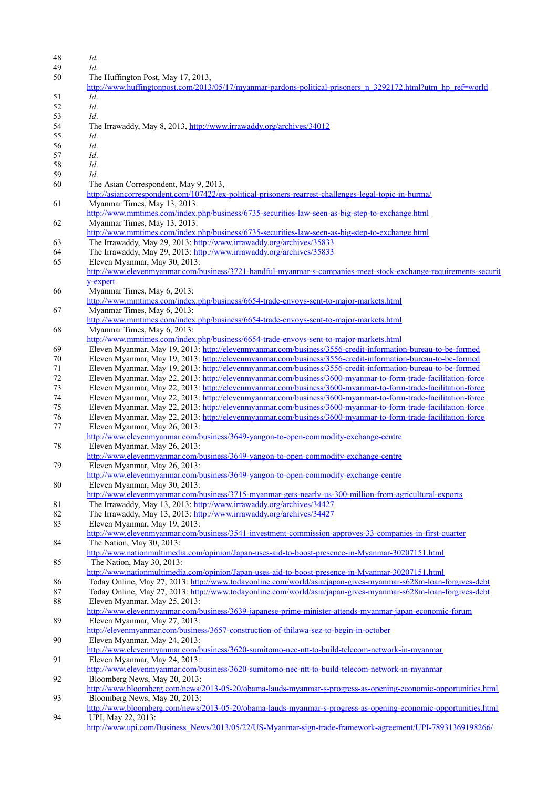- 48 *Id.* 49 *Id.* The Huffington Post, May 17, 2013, [http://www.huffingtonpost.com/2013/05/17/myanmar-pardons-political-prisoners\\_n\\_3292172.html?utm\\_hp\\_ref=world](http://www.huffingtonpost.com/2013/05/17/myanmar-pardons-political-prisoners_n_3292172.html?utm_hp_ref=world) 51 *Id*. 52 *Id*. 53 *Id*. 54 The Irrawaddy, May 8, 2013,<http://www.irrawaddy.org/archives/34012> 55 *Id*. 56 *Id*. 57 *Id*. 58 *Id*. 59 *Id*. 60 The Asian Correspondent, May 9, 2013, <http://asiancorrespondent.com/107422/ex-political-prisoners-rearrest-challenges-legal-topic-in-burma/> 61 Myanmar Times, May 13, 2013: <http://www.mmtimes.com/index.php/business/6735-securities-law-seen-as-big-step-to-exchange.html> 62 Myanmar Times, May 13, 2013: <http://www.mmtimes.com/index.php/business/6735-securities-law-seen-as-big-step-to-exchange.html> 63 The Irrawaddy, May 29, 2013:<http://www.irrawaddy.org/archives/35833> 64 The Irrawaddy, May 29, 2013:<http://www.irrawaddy.org/archives/35833> 65 Eleven Myanmar, May 30, 2013: [http://www.elevenmyanmar.com/business/3721-handful-myanmar-s-companies-meet-stock-exchange-requirements-securit](http://www.elevenmyanmar.com/business/3721-handful-myanmar-s-companies-meet-stock-exchange-requirements-security-expert) [y-expert](http://www.elevenmyanmar.com/business/3721-handful-myanmar-s-companies-meet-stock-exchange-requirements-security-expert) 66 Myanmar Times, May 6, 2013: <http://www.mmtimes.com/index.php/business/6654-trade-envoys-sent-to-major-markets.html> 67 Myanmar Times, May 6, 2013: <http://www.mmtimes.com/index.php/business/6654-trade-envoys-sent-to-major-markets.html> 68 Myanmar Times, May 6, 2013: <http://www.mmtimes.com/index.php/business/6654-trade-envoys-sent-to-major-markets.html> 69 Eleven Myanmar, May 19, 2013:<http://elevenmyanmar.com/business/3556-credit-information-bureau-to-be-formed> 70 Eleven Myanmar, May 19, 2013:<http://elevenmyanmar.com/business/3556-credit-information-bureau-to-be-formed> 71 Eleven Myanmar, May 19, 2013:<http://elevenmyanmar.com/business/3556-credit-information-bureau-to-be-formed> 72 Eleven Myanmar, May 22, 2013:<http://elevenmyanmar.com/business/3600-myanmar-to-form-trade-facilitation-force> 73 Eleven Myanmar, May 22, 2013:<http://elevenmyanmar.com/business/3600-myanmar-to-form-trade-facilitation-force> 74 Eleven Myanmar, May 22, 2013:<http://elevenmyanmar.com/business/3600-myanmar-to-form-trade-facilitation-force> 75 Eleven Myanmar, May 22, 2013:<http://elevenmyanmar.com/business/3600-myanmar-to-form-trade-facilitation-force> 76 Eleven Myanmar, May 22, 2013:<http://elevenmyanmar.com/business/3600-myanmar-to-form-trade-facilitation-force> 77 Eleven Myanmar, May 26, 2013: <http://www.elevenmyanmar.com/business/3649-yangon-to-open-commodity-exchange-centre> 78 Eleven Myanmar, May 26, 2013: <http://www.elevenmyanmar.com/business/3649-yangon-to-open-commodity-exchange-centre> 79 Eleven Myanmar, May 26, 2013: <http://www.elevenmyanmar.com/business/3649-yangon-to-open-commodity-exchange-centre> 80 Eleven Myanmar, May 30, 2013: <http://www.elevenmyanmar.com/business/3715-myanmar-gets-nearly-us-300-million-from-agricultural-exports> 81 The Irrawaddy, May 13, 2013:<http://www.irrawaddy.org/archives/34427> 82 The Irrawaddy, May 13, 2013:<http://www.irrawaddy.org/archives/34427><br>83 Eleven Myanmar May 19 2013: Eleven Myanmar, May 19, 2013: <http://www.elevenmyanmar.com/business/3541-investment-commission-approves-33-companies-in-first-quarter> 84 The Nation, May 30, 2013: <http://www.nationmultimedia.com/opinion/Japan-uses-aid-to-boost-presence-in-Myanmar-30207151.html> 85 The Nation, May 30, 2013: <http://www.nationmultimedia.com/opinion/Japan-uses-aid-to-boost-presence-in-Myanmar-30207151.html> 86 Today Online, May 27, 2013:<http://www.todayonline.com/world/asia/japan-gives-myanmar-s628m-loan-forgives-debt> 87 Today Online, May 27, 2013:<http://www.todayonline.com/world/asia/japan-gives-myanmar-s628m-loan-forgives-debt> 88 Eleven Myanmar, May 25, 2013: <http://www.elevenmyanmar.com/business/3639-japanese-prime-minister-attends-myanmar-japan-economic-forum> 89 Eleven Myanmar, May 27, 2013: <http://elevenmyanmar.com/business/3657-construction-of-thilawa-sez-to-begin-in-october> 90 Eleven Myanmar, May 24, 2013: <http://www.elevenmyanmar.com/business/3620-sumitomo-nec-ntt-to-build-telecom-network-in-myanmar> 91 Eleven Myanmar, May 24, 2013: <http://www.elevenmyanmar.com/business/3620-sumitomo-nec-ntt-to-build-telecom-network-in-myanmar> 92 Bloomberg News, May 20, 2013: <http://www.bloomberg.com/news/2013-05-20/obama-lauds-myanmar-s-progress-as-opening-economic-opportunities.html> 93 Bloomberg News, May 20, 2013: <http://www.bloomberg.com/news/2013-05-20/obama-lauds-myanmar-s-progress-as-opening-economic-opportunities.html> 94 UPI, May 22, 2013:
- [http://www.upi.com/Business\\_News/2013/05/22/US-Myanmar-sign-trade-framework-agreement/UPI-78931369198266/](http://www.upi.com/Business_News/2013/05/22/US-Myanmar-sign-trade-framework-agreement/UPI-78931369198266/)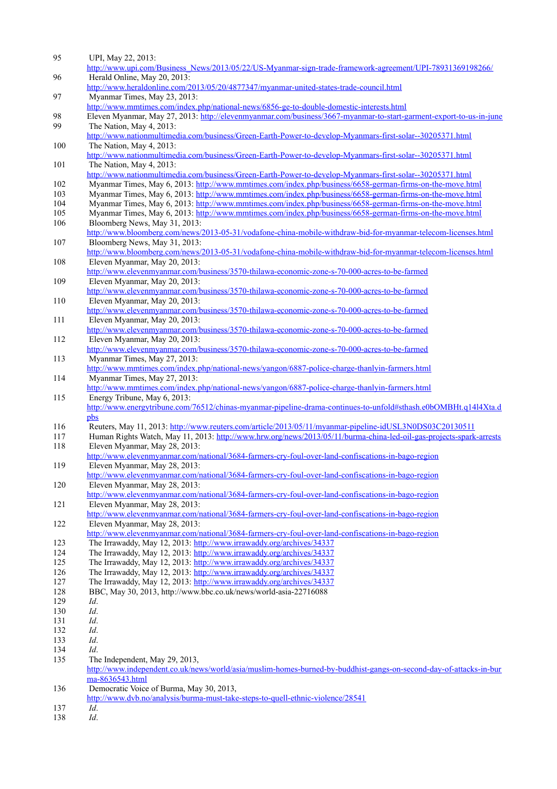| 95         | UPI, May 22, 2013:<br>http://www.upi.com/Business_News/2013/05/22/US-Myanmar-sign-trade-framework-agreement/UPI-78931369198266/                                                                                                                   |
|------------|---------------------------------------------------------------------------------------------------------------------------------------------------------------------------------------------------------------------------------------------------|
| 96         | Herald Online, May 20, 2013:                                                                                                                                                                                                                      |
| 97         | http://www.heraldonline.com/2013/05/20/4877347/myanmar-united-states-trade-council.html<br>Myanmar Times, May 23, 2013:                                                                                                                           |
| 98         | http://www.mmtimes.com/index.php/national-news/6856-ge-to-double-domestic-interests.html<br>Eleven Myanmar, May 27, 2013: http://elevenmyanmar.com/business/3667-myanmar-to-start-garment-export-to-us-in-june                                    |
| 99         | The Nation, May 4, 2013:                                                                                                                                                                                                                          |
| 100        | http://www.nationmultimedia.com/business/Green-Earth-Power-to-develop-Myanmars-first-solar--30205371.html<br>The Nation, May 4, 2013:                                                                                                             |
| 101        | http://www.nationmultimedia.com/business/Green-Earth-Power-to-develop-Myanmars-first-solar--30205371.html<br>The Nation, May 4, 2013:                                                                                                             |
| 102        | http://www.nationmultimedia.com/business/Green-Earth-Power-to-develop-Myanmars-first-solar--30205371.html<br>Myanmar Times, May 6, 2013: http://www.mmtimes.com/index.php/business/6658-german-firms-on-the-move.html                             |
| 103        | Myanmar Times, May 6, 2013: http://www.mmtimes.com/index.php/business/6658-german-firms-on-the-move.html                                                                                                                                          |
| 104        | Myanmar Times, May 6, 2013: http://www.mmtimes.com/index.php/business/6658-german-firms-on-the-move.html                                                                                                                                          |
| 105        | Myanmar Times, May 6, 2013: http://www.mmtimes.com/index.php/business/6658-german-firms-on-the-move.html                                                                                                                                          |
| 106        | Bloomberg News, May 31, 2013:<br>http://www.bloomberg.com/news/2013-05-31/vodafone-china-mobile-withdraw-bid-for-myanmar-telecom-licenses.html                                                                                                    |
| 107        | Bloomberg News, May 31, 2013:                                                                                                                                                                                                                     |
|            | http://www.bloomberg.com/news/2013-05-31/vodafone-china-mobile-withdraw-bid-for-myanmar-telecom-licenses.html                                                                                                                                     |
| 108        | Eleven Myanmar, May 20, 2013:<br>http://www.elevenmyanmar.com/business/3570-thilawa-economic-zone-s-70-000-acres-to-be-farmed                                                                                                                     |
| 109        | Eleven Myanmar, May 20, 2013:                                                                                                                                                                                                                     |
| 110        | http://www.elevenmyanmar.com/business/3570-thilawa-economic-zone-s-70-000-acres-to-be-farmed<br>Eleven Myanmar, May 20, 2013:                                                                                                                     |
| 111        | http://www.elevenmyanmar.com/business/3570-thilawa-economic-zone-s-70-000-acres-to-be-farmed<br>Eleven Myanmar, May 20, 2013:                                                                                                                     |
| 112        | http://www.elevenmyanmar.com/business/3570-thilawa-economic-zone-s-70-000-acres-to-be-farmed<br>Eleven Myanmar, May 20, 2013:                                                                                                                     |
| 113        | http://www.elevenmyanmar.com/business/3570-thilawa-economic-zone-s-70-000-acres-to-be-farmed<br>Myanmar Times, May 27, 2013:                                                                                                                      |
| 114        | http://www.mmtimes.com/index.php/national-news/yangon/6887-police-charge-thanlyin-farmers.html<br>Myanmar Times, May 27, 2013:                                                                                                                    |
| 115        | http://www.mmtimes.com/index.php/national-news/yangon/6887-police-charge-thanlyin-farmers.html<br>Energy Tribune, May 6, 2013:<br>http://www.energytribune.com/76512/chinas-myanmar-pipeline-drama-continues-to-unfold#sthash.e0bOMBHt.q1414Xta.d |
|            | pbs                                                                                                                                                                                                                                               |
| 116        | Reuters, May 11, 2013: http://www.reuters.com/article/2013/05/11/myanmar-pipeline-idUSL3N0DS03C20130511                                                                                                                                           |
| 117<br>118 | Human Rights Watch, May 11, 2013: http://www.hrw.org/news/2013/05/11/burma-china-led-oil-gas-projects-spark-arrests<br>Eleven Myanmar, May 28, 2013:                                                                                              |
| 119        | http://www.elevenmyanmar.com/national/3684-farmers-cry-foul-over-land-confiscations-in-bago-region<br>Eleven Myanmar, May 28, 2013:                                                                                                               |
| 120        | http://www.elevenmyanmar.com/national/3684-farmers-cry-foul-over-land-confiscations-in-bago-region<br>Eleven Myanmar, May 28, 2013:<br>http://www.elevenmyanmar.com/national/3684-farmers-cry-foul-over-land-confiscations-in-bago-region         |
| 121        | Eleven Myanmar, May 28, 2013:<br>http://www.elevenmyanmar.com/national/3684-farmers-cry-foul-over-land-confiscations-in-bago-region                                                                                                               |
| 122        | Eleven Myanmar, May 28, 2013:<br>http://www.elevenmyanmar.com/national/3684-farmers-cry-foul-over-land-confiscations-in-bago-region                                                                                                               |
| 123        | The Irrawaddy, May 12, 2013: http://www.irrawaddy.org/archives/34337                                                                                                                                                                              |
| 124        | The Irrawaddy, May 12, 2013: http://www.irrawaddy.org/archives/34337                                                                                                                                                                              |
| 125        | The Irrawaddy, May 12, 2013: http://www.irrawaddy.org/archives/34337                                                                                                                                                                              |
| 126<br>127 | The Irrawaddy, May 12, 2013: http://www.irrawaddy.org/archives/34337<br>The Irrawaddy, May 12, 2013: http://www.irrawaddy.org/archives/34337                                                                                                      |
| 128        | BBC, May 30, 2013, http://www.bbc.co.uk/news/world-asia-22716088                                                                                                                                                                                  |
| 129        | Id.                                                                                                                                                                                                                                               |
| 130        | Id.                                                                                                                                                                                                                                               |
| 131        | Id.                                                                                                                                                                                                                                               |
| 132        | Id.                                                                                                                                                                                                                                               |
| 133        | Id.                                                                                                                                                                                                                                               |
| 134        | Id.                                                                                                                                                                                                                                               |
| 135        | The Independent, May 29, 2013,<br>http://www.independent.co.uk/news/world/asia/muslim-homes-burned-by-buddhist-gangs-on-second-day-of-attacks-in-bur<br>ma-8636543.html                                                                           |
| 136        | Democratic Voice of Burma, May 30, 2013,<br>http://www.dvb.no/analysis/burma-must-take-steps-to-quell-ethnic-violence/28541                                                                                                                       |
| 137        | Id.                                                                                                                                                                                                                                               |
| 138        | Id.                                                                                                                                                                                                                                               |